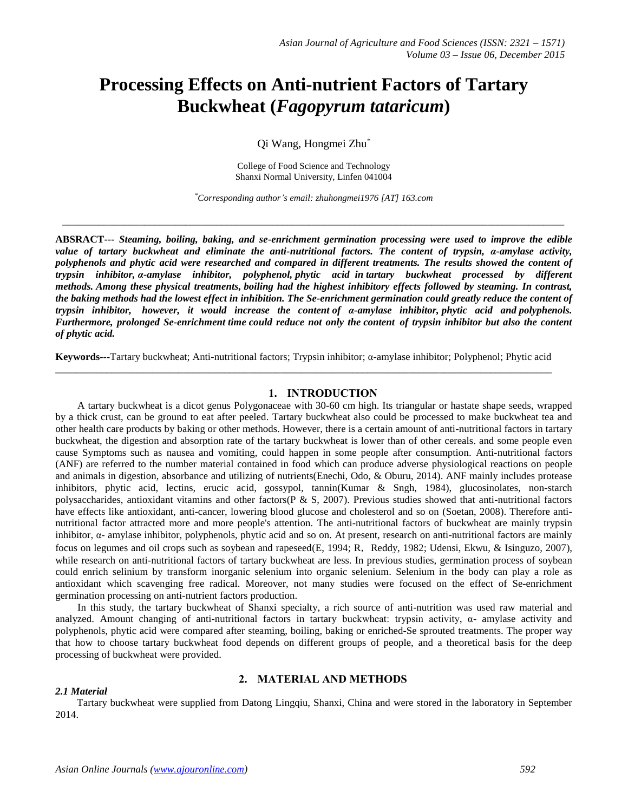# **Processing Effects on Anti-nutrient Factors of Tartary Buckwheat (***Fagopyrum tataricum***)**

Qi Wang, Hongmei Zhu*\**

College of Food Science and Technology Shanxi Normal University, Linfen 041004

*\*Corresponding author's email: zhuhongmei1976 [AT] 163.com*

 $\_$  ,  $\_$  ,  $\_$  ,  $\_$  ,  $\_$  ,  $\_$  ,  $\_$  ,  $\_$  ,  $\_$  ,  $\_$  ,  $\_$  ,  $\_$  ,  $\_$  ,  $\_$  ,  $\_$  ,  $\_$  ,  $\_$  ,  $\_$  ,  $\_$  ,  $\_$  ,  $\_$  ,  $\_$  ,  $\_$  ,  $\_$  ,  $\_$  ,  $\_$  ,  $\_$  ,  $\_$  ,  $\_$  ,  $\_$  ,  $\_$  ,  $\_$  ,  $\_$  ,  $\_$  ,  $\_$  ,  $\_$  ,  $\_$  ,

**ABSRACT---** *Steaming, boiling, baking, and se-enrichment germination processing were used to improve the edible value of tartary buckwheat and eliminate the anti-nutritional factors. The content of trypsin, α-amylase activity, polyphenols and phytic acid were researched and compared in different treatments. The results showed the content of trypsin inhibitor, α-amylase inhibitor, polyphenol, phytic acid in tartary buckwheat processed by different methods. Among these physical treatments, boiling had the highest inhibitory effects followed by steaming. In contrast, the baking methods had the lowest effect in inhibition. The Se-enrichment germination could greatly reduce the content of trypsin inhibitor, however, it would increase the content of α-amylase inhibitor, phytic acid and polyphenols. Furthermore, prolonged Se-enrichment time could reduce not only the content of trypsin inhibitor but also the content of phytic acid.*

**Keywords---**Tartary buckwheat; Anti-nutritional factors; Trypsin inhibitor; α-amylase inhibitor; Polyphenol; Phytic acid *\_\_\_\_\_\_\_\_\_\_\_\_\_\_\_\_\_\_\_\_\_\_\_\_\_\_\_\_\_\_\_\_\_\_\_\_\_\_\_\_\_\_\_\_\_\_\_\_\_\_\_\_\_\_\_\_\_\_\_\_\_\_\_\_\_\_\_\_\_\_\_\_\_\_\_\_\_\_\_\_\_\_\_\_\_\_\_\_\_\_\_\_\_\_\_\_\_*

# **1. INTRODUCTION**

A tartary buckwheat is a dicot genus Polygonaceae with 30-60 cm high. Its triangular or hastate shape seeds, wrapped by a thick crust, can be ground to eat after peeled. Tartary buckwheat also could be processed to make buckwheat tea and other health care products by baking or other methods. However, there is a certain amount of anti-nutritional factors in tartary buckwheat, the digestion and absorption rate of the tartary buckwheat is lower than of other cereals. and some people even cause Symptoms such as nausea and vomiting, could happen in some people after consumption. Anti-nutritional factors (ANF) are referred to the number material contained in food which can produce adverse physiological reactions on people and animals in digestion, absorbance and utilizing of nutrients[\(Enechi, Odo, & Oburu, 2014\)](#page-4-0). ANF mainly includes protease inhibitors, phytic acid, lectins, erucic acid, gossypol, tannin[\(Kumar & Sngh, 1984\)](#page-4-1), glucosinolates, non-starch polysaccharides, antioxidant vitamins and other factors( $P \& S$ , 2007). Previous studies showed that anti-nutritional factors have effects like antioxidant, anti-cancer, lowering blood glucose and cholesterol and so on [\(Soetan, 2008\)](#page-4-3). Therefore antinutritional factor attracted more and more people's attention. The anti-nutritional factors of buckwheat are mainly trypsin inhibitor, α- amylase inhibitor, polyphenols, phytic acid and so on. At present, research on anti-nutritional factors are mainly focus on legumes and oil crops such as soybean and rapeseed[\(E, 1994;](#page-4-4) R, [Reddy, 1982;](#page-4-5) [Udensi, Ekwu, & Isinguzo, 2007\)](#page-5-0), while research on anti-nutritional factors of tartary buckwheat are less. In previous studies, germination process of soybean could enrich selinium by transform inorganic selenium into organic selenium. Selenium in the body can play a role as antioxidant which scavenging free radical. Moreover, not many studies were focused on the effect of Se-enrichment germination processing on anti-nutrient factors production.

In this study, the tartary buckwheat of Shanxi specialty, a rich source of anti-nutrition was used raw material and analyzed. Amount changing of anti-nutritional factors in tartary buckwheat: trypsin activity,  $\alpha$ - amylase activity and polyphenols, phytic acid were compared after steaming, boiling, baking or enriched-Se sprouted treatments. The proper way that how to choose tartary buckwheat food depends on different groups of people, and a theoretical basis for the deep processing of buckwheat were provided.

# *2.1 Material*

# **2. MATERIAL AND METHODS**

Tartary buckwheat were supplied from Datong Lingqiu, Shanxi, China and were stored in the laboratory in September 2014.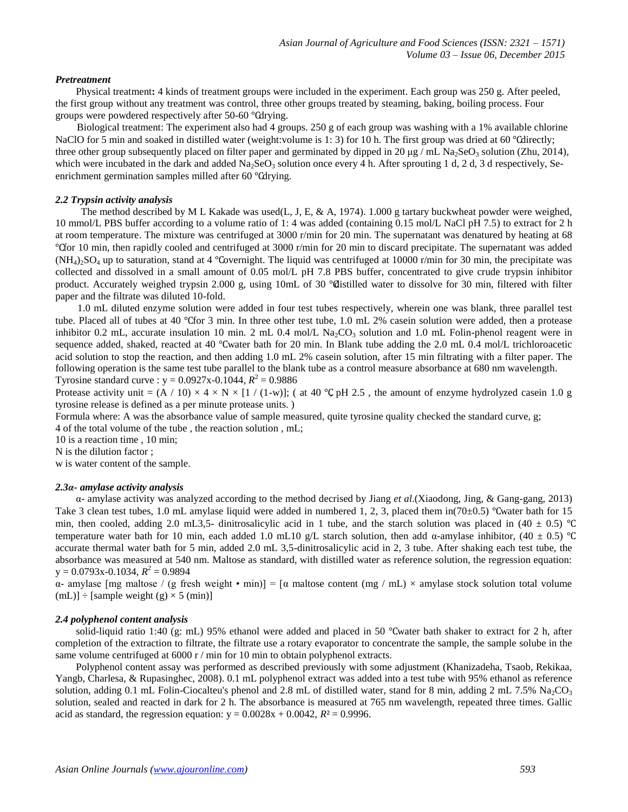# *Pretreatment*

Physical treatment**:** 4 kinds of treatment groups were included in the experiment. Each group was 250 g. After peeled, the first group without any treatment was control, three other groups treated by steaming, baking, boiling process. Four groups were powdered respectively after 50-60 ℃drying.

Biological treatment: The experiment also had 4 groups. 250 g of each group was washing with a 1% available chlorine NaClO for 5 min and soaked in distilled water (weight:volume is 1: 3) for 10 h. The first group was dried at 60 °Cdirectly; three other group subsequently placed on filter paper and germinated by dipped in 20  $\mu$ g / mL Na<sub>2</sub>SeO<sub>3</sub> solution [\(Zhu, 2014\)](#page-5-1), which were incubated in the dark and added  $Na<sub>2</sub>SeO<sub>3</sub>$  solution once every 4 h. After sprouting 1 d, 2 d, 3 d respectively, Seenrichment germination samples milled after 60 ℃drying.

# *2.2 Trypsin activity analysis*

The method described by M L Kakade was used[\(L, J, E, & A, 1974\)](#page-4-6). 1.000 g tartary buckwheat powder were weighed, 10 mmol/L PBS buffer according to a volume ratio of 1: 4 was added (containing 0.15 mol/L NaCl pH 7.5) to extract for 2 h at room temperature. The mixture was centrifuged at 3000 r/min for 20 min. The supernatant was denatured by heating at 68 ℃for 10 min, then rapidly cooled and centrifuged at 3000 r/min for 20 min to discard precipitate. The supernatant was added  $(NH_4)$ <sub>2</sub>SO<sub>4</sub> up to saturation, stand at 4 °Covernight. The liquid was centrifuged at 10000 r/min for 30 min, the precipitate was collected and dissolved in a small amount of 0.05 mol/L pH 7.8 PBS buffer, concentrated to give crude trypsin inhibitor product. Accurately weighed trypsin 2.000 g, using 10mL of 30 ℃distilled water to dissolve for 30 min, filtered with filter paper and the filtrate was diluted 10-fold.

1.0 mL diluted enzyme solution were added in four test tubes respectively, wherein one was blank, three parallel test tube. Placed all of tubes at 40 ℃for 3 min. In three other test tube, 1.0 mL 2% casein solution were added, then a protease inhibitor 0.2 mL, accurate insulation 10 min. 2 mL 0.4 mol/L Na<sub>2</sub>CO<sub>3</sub> solution and 1.0 mL Folin-phenol reagent were in sequence added, shaked, reacted at 40 °Cwater bath for 20 min. In Blank tube adding the 2.0 mL 0.4 mol/L trichloroacetic acid solution to stop the reaction, and then adding 1.0 mL 2% casein solution, after 15 min filtrating with a filter paper. The following operation is the same test tube parallel to the blank tube as a control measure absorbance at 680 nm wavelength. Tyrosine standard curve :  $y = 0.0927x - 0.1044$ ,  $R^2 = 0.9886$ 

Protease activity unit =  $(A / 10) \times 4 \times N \times [1 / (1-w)]$ ; (at 40 °C pH 2.5, the amount of enzyme hydrolyzed casein 1.0 g tyrosine release is defined as a per minute protease units. )

Formula where: A was the absorbance value of sample measured, quite tyrosine quality checked the standard curve, g; 4 of the total volume of the tube , the reaction solution , mL;

10 is a reaction time , 10 min;

N is the dilution factor ;

w is water content of the sample.

# *2.3α- amylase activity analysis*

α- amylase activity was analyzed according to the method decrised by Jiang *et al*.[\(Xiaodong, Jing, & Gang-gang, 2013\)](#page-5-2) Take 3 clean test tubes, 1.0 mL amylase liquid were added in numbered 1, 2, 3, placed them in(70±0.5) ℃water bath for 15 min, then cooled, adding 2.0 mL3,5- dinitrosalicylic acid in 1 tube, and the starch solution was placed in (40  $\pm$  0.5) °C temperature water bath for 10 min, each added 1.0 mL10 g/L starch solution, then add  $\alpha$ -amylase inhibitor, (40 ± 0.5) °C accurate thermal water bath for 5 min, added 2.0 mL 3,5-dinitrosalicylic acid in 2, 3 tube. After shaking each test tube, the absorbance was measured at 540 nm. Maltose as standard, with distilled water as reference solution, the regression equation:  $y = 0.0793x - 0.1034, R^2 = 0.9894$ 

α- amylase [mg maltose / (g fresh weight • min)] = [α maltose content (mg / mL) × amylase stock solution total volume  $(mL)] \div [sample weight (g) \times 5 (min)]$ 

# *2.4 polyphenol content analysis*

solid-liquid ratio 1:40 (g: mL) 95% ethanol were added and placed in 50 ℃water bath shaker to extract for 2 h, after completion of the extraction to filtrate, the filtrate use a rotary evaporator to concentrate the sample, the sample solube in the same volume centrifuged at  $6000 \text{ r/m}$  min for 10 min to obtain polyphenol extracts.

Polyphenol content assay was performed as described previously with some adjustment [\(Khanizadeha, Tsaob, Rekikaa,](#page-4-7)  [Yangb, Charlesa, & Rupasinghec, 2008\)](#page-4-7). 0.1 mL polyphenol extract was added into a test tube with 95% ethanol as reference solution, adding 0.1 mL Folin-Ciocalteu's phenol and 2.8 mL of distilled water, stand for 8 min, adding 2 mL 7.5% Na<sub>2</sub>CO<sub>3</sub> solution, sealed and reacted in dark for 2 h. The absorbance is measured at 765 nm wavelength, repeated three times. Gallic acid as standard, the regression equation:  $y = 0.0028x + 0.0042$ ,  $R^2 = 0.9996$ .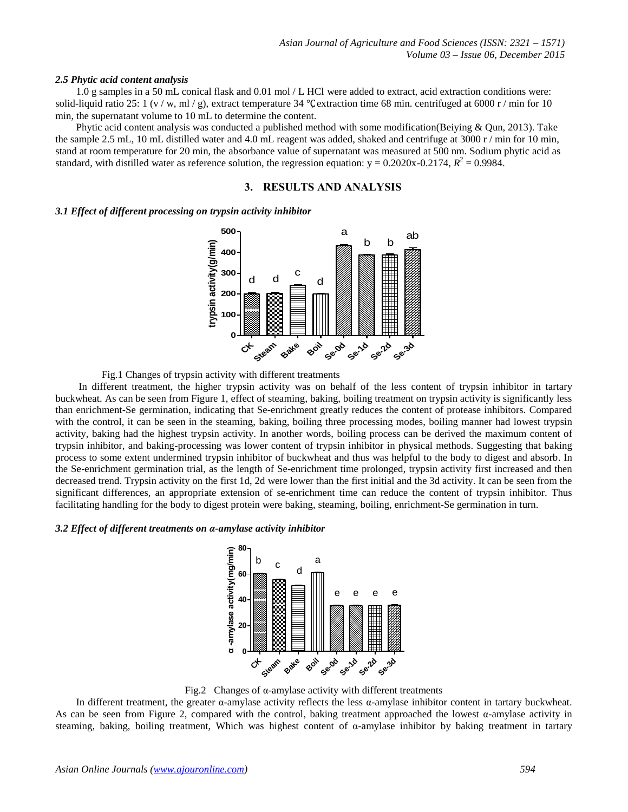#### *2.5 Phytic acid content analysis*

1.0 g samples in a 50 mL conical flask and 0.01 mol / L HCl were added to extract, acid extraction conditions were: solid-liquid ratio 25: 1 (v / w, ml / g), extract temperature 34 °C extraction time 68 min. centrifuged at 6000 r / min for 10 min, the supernatant volume to 10 mL to determine the content.

Phytic acid content analysis was conducted a published method with some modification[\(Beiying & Qun, 2013\)](#page-4-8). Take the sample 2.5 mL, 10 mL distilled water and 4.0 mL reagent was added, shaked and centrifuge at 3000 r / min for 10 min, stand at room temperature for 20 min, the absorbance value of supernatant was measured at 500 nm. Sodium phytic acid as standard, with distilled water as reference solution, the regression equation:  $y = 0.2020x - 0.2174$ ,  $R^2 = 0.9984$ .

# **3. RESULTS AND ANALYSIS**

#### *3.1 Effect of different processing on trypsin activity inhibitor*



Fig.1 Changes of trypsin activity with different treatments

In different treatment, the higher trypsin activity was on behalf of the less content of trypsin inhibitor in tartary buckwheat. As can be seen from Figure 1, effect of steaming, baking, boiling treatment on trypsin activity is significantly less than enrichment-Se germination, indicating that Se-enrichment greatly reduces the content of protease inhibitors. Compared with the control, it can be seen in the steaming, baking, boiling three processing modes, boiling manner had lowest trypsin activity, baking had the highest trypsin activity. In another words, boiling process can be derived the maximum content of trypsin inhibitor, and baking-processing was lower content of trypsin inhibitor in physical methods. Suggesting that baking process to some extent undermined trypsin inhibitor of buckwheat and thus was helpful to the body to digest and absorb. In the Se-enrichment germination trial, as the length of Se-enrichment time prolonged, trypsin activity first increased and then decreased trend. Trypsin activity on the first 1d, 2d were lower than the first initial and the 3d activity. It can be seen from the significant differences, an appropriate extension of se-enrichment time can reduce the content of trypsin inhibitor. Thus facilitating handling for the body to digest protein were baking, steaming, boiling, enrichment-Se germination in turn.

# *3.2 Effect of different treatments on α-amylase activity inhibitor*



Fig.2 Changes of  $\alpha$ -amylase activity with different treatments

In different treatment, the greater  $\alpha$ -amylase activity reflects the less  $\alpha$ -amylase inhibitor content in tartary buckwheat. As can be seen from Figure 2, compared with the control, baking treatment approached the lowest  $\alpha$ -amylase activity in steaming, baking, boiling treatment, Which was highest content of α-amylase inhibitor by baking treatment in tartary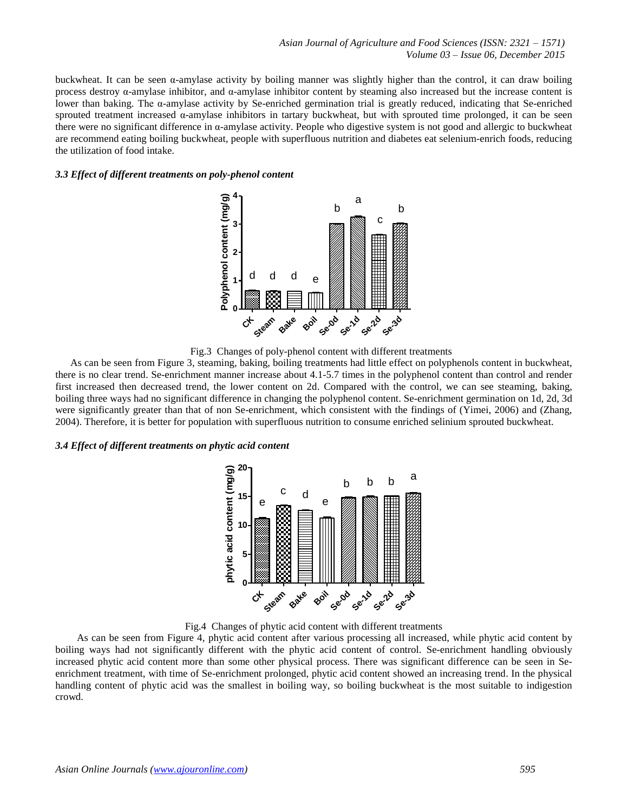buckwheat. It can be seen α-amylase activity by boiling manner was slightly higher than the control, it can draw boiling process destroy α-amylase inhibitor, and α-amylase inhibitor content by steaming also increased but the increase content is lower than baking. The α-amylase activity by Se-enriched germination trial is greatly reduced, indicating that Se-enriched sprouted treatment increased α-amylase inhibitors in tartary buckwheat, but with sprouted time prolonged, it can be seen there were no significant difference in α-amylase activity. People who digestive system is not good and allergic to buckwheat are recommend eating boiling buckwheat, people with superfluous nutrition and diabetes eat selenium-enrich foods, reducing the utilization of food intake.

# *3.3 Effect of different treatments on poly-phenol content*



Fig.3 Changes of poly-phenol content with different treatments

As can be seen from Figure 3, steaming, baking, boiling treatments had little effect on polyphenols content in buckwheat, there is no clear trend. Se-enrichment manner increase about 4.1-5.7 times in the polyphenol content than control and render first increased then decreased trend, the lower content on 2d. Compared with the control, we can see steaming, baking, boiling three ways had no significant difference in changing the polyphenol content. Se-enrichment germination on 1d, 2d, 3d were significantly greater than that of non Se-enrichment, which consistent with the findings of [\(Yimei, 2006\)](#page-5-3) and [\(Zhang,](#page-5-4)  [2004\)](#page-5-4). Therefore, it is better for population with superfluous nutrition to consume enriched selinium sprouted buckwheat.

## *3.4 Effect of different treatments on phytic acid content*



Fig.4 Changes of phytic acid content with different treatments

As can be seen from Figure 4, phytic acid content after various processing all increased, while phytic acid content by boiling ways had not significantly different with the phytic acid content of control. Se-enrichment handling obviously increased phytic acid content more than some other physical process. There was significant difference can be seen in Seenrichment treatment, with time of Se-enrichment prolonged, phytic acid content showed an increasing trend. In the physical handling content of phytic acid was the smallest in boiling way, so boiling buckwheat is the most suitable to indigestion crowd.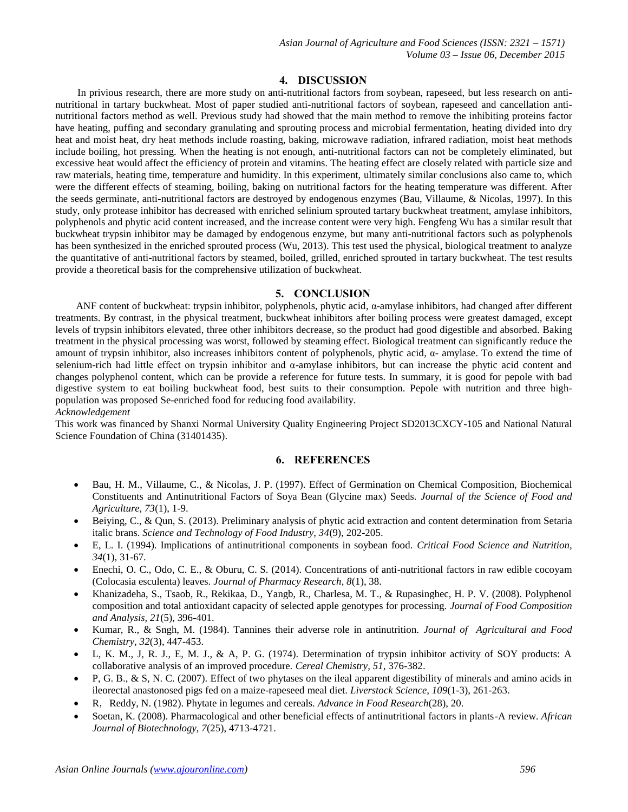*Asian Journal of Agriculture and Food Sciences (ISSN: 2321 – 1571) Volume 03 – Issue 06, December 2015*

# **4. DISCUSSION**

In privious research, there are more study on anti-nutritional factors from soybean, rapeseed, but less research on antinutritional in tartary buckwheat. Most of paper studied anti-nutritional factors of soybean, rapeseed and cancellation antinutritional factors method as well. Previous study had showed that the main method to remove the inhibiting proteins factor have heating, puffing and secondary granulating and sprouting process and microbial fermentation, heating divided into dry heat and moist heat, dry heat methods include roasting, baking, microwave radiation, infrared radiation, moist heat methods include boiling, hot pressing. When the heating is not enough, anti-nutritional factors can not be completely eliminated, but excessive heat would affect the efficiency of protein and vitamins. The heating effect are closely related with particle size and raw materials, heating time, temperature and humidity. In this experiment, ultimately similar conclusions also came to, which were the different effects of steaming, boiling, baking on nutritional factors for the heating temperature was different. After the seeds germinate, anti-nutritional factors are destroyed by endogenous enzymes [\(Bau, Villaume, & Nicolas, 1997\)](#page-4-9). In this study, only protease inhibitor has decreased with enriched selinium sprouted tartary buckwheat treatment, amylase inhibitors, polyphenols and phytic acid content increased, and the increase content were very high. Fengfeng Wu has a similar result that buckwheat trypsin inhibitor may be damaged by endogenous enzyme, but many anti-nutritional factors such as polyphenols has been synthesized in the enriched sprouted process [\(Wu, 2013\)](#page-5-5). This test used the physical, biological treatment to analyze the quantitative of anti-nutritional factors by steamed, boiled, grilled, enriched sprouted in tartary buckwheat. The test results provide a theoretical basis for the comprehensive utilization of buckwheat.

# **5. CONCLUSION**

ANF content of buckwheat: trypsin inhibitor, polyphenols, phytic acid, α-amylase inhibitors, had changed after different treatments. By contrast, in the physical treatment, buckwheat inhibitors after boiling process were greatest damaged, except levels of trypsin inhibitors elevated, three other inhibitors decrease, so the product had good digestible and absorbed. Baking treatment in the physical processing was worst, followed by steaming effect. Biological treatment can significantly reduce the amount of trypsin inhibitor, also increases inhibitors content of polyphenols, phytic acid,  $\alpha$ - amylase. To extend the time of selenium-rich had little effect on trypsin inhibitor and  $\alpha$ -amylase inhibitors, but can increase the phytic acid content and changes polyphenol content, which can be provide a reference for future tests. In summary, it is good for pepole with bad digestive system to eat boiling buckwheat food, best suits to their consumption. Pepole with nutrition and three highpopulation was proposed Se-enriched food for reducing food availability. *Acknowledgement*

This work was financed by Shanxi Normal University Quality Engineering Project SD2013CXCY-105 and National Natural Science Foundation of China (31401435).

# **6. REFERENCES**

- <span id="page-4-9"></span> Bau, H. M., Villaume, C., & Nicolas, J. P. (1997). Effect of Germination on Chemical Composition, Biochemical Constituents and Antinutritional Factors of Soya Bean (Glycine max) Seeds. *Journal of the Science of Food and Agriculture, 73*(1), 1-9.
- <span id="page-4-8"></span> Beiying, C., & Qun, S. (2013). Preliminary analysis of phytic acid extraction and content determination from Setaria italic brans. *Science and Technology of Food Industry, 34*(9), 202-205.
- <span id="page-4-4"></span> E, L. I. (1994). Implications of antinutritional components in soybean food. *Critical Food Science and Nutrition, 34*(1), 31-67.
- <span id="page-4-0"></span> Enechi, O. C., Odo, C. E., & Oburu, C. S. (2014). Concentrations of anti-nutritional factors in raw edible cocoyam (Colocasia esculenta) leaves. *Journal of Pharmacy Research, 8*(1), 38.
- <span id="page-4-7"></span> Khanizadeha, S., Tsaob, R., Rekikaa, D., Yangb, R., Charlesa, M. T., & Rupasinghec, H. P. V. (2008). Polyphenol composition and total antioxidant capacity of selected apple genotypes for processing. *Journal of Food Composition and Analysis, 21*(5), 396-401.
- <span id="page-4-1"></span> Kumar, R., & Sngh, M. (1984). Tannines their adverse role in antinutrition. *Journal of Agricultural and Food Chemistry, 32*(3), 447-453.
- <span id="page-4-6"></span> L, K. M., J, R. J., E, M. J., & A, P. G. (1974). Determination of trypsin inhibitor activity of SOY products: A collaborative analysis of an improved procedure. *Cereal Chemistry, 51*, 376-382.
- <span id="page-4-2"></span> P, G. B., & S, N. C. (2007). Effect of two phytases on the ileal apparent digestibility of minerals and amino acids in ileorectal anastonosed pigs fed on a maize-rapeseed meal diet. *Liverstock Science, 109*(1-3), 261-263.
- <span id="page-4-5"></span>R,Reddy, N. (1982). Phytate in legumes and cereals. *Advance in Food Research*(28), 20.
- <span id="page-4-3"></span> Soetan, K. (2008). Pharmacological and other beneficial effects of antinutritional factors in plants-A review. *African Journal of Biotechnology, 7*(25), 4713-4721.